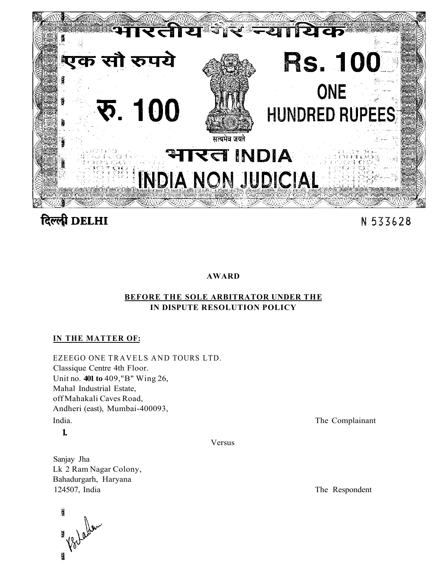

# दिल्ली DELHI

## N 533628

## **AWARD**

## **BEFORE THE SOLE ARBITRATOR UNDER THE IN DISPUTE RESOLUTION POLICY**

## **IN THE MATTER OF:**

EZEEGO ONE TRAVELS AND TOURS LTD. Classique Centre 4th Floor. Unit no. **401 to** 409,"B" Wing 26, Mahal Industrial Estate, off Mahakali Caves Road, Andheri (east), Mumbai-400093, India. The Complainant

**1.** 

Versus

Sanjay Jha Lk 2 Ram Nagar Colony, Bahadurgarh, Haryana 124507, India The Respondent

i tari Worldw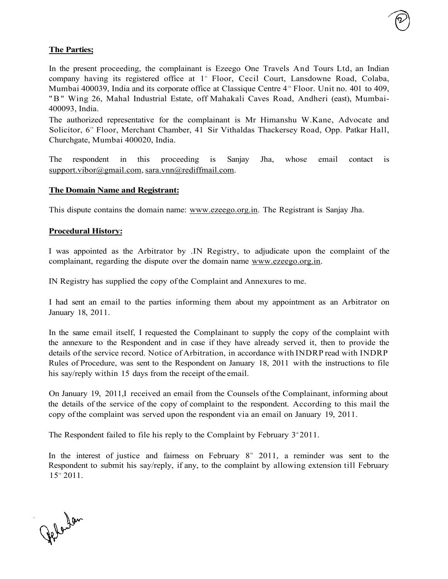In the present proceeding, the complainant is Ezeego One Travels And Tours Ltd, an Indian company having its registered office at 1<sup>st</sup> Floor, Cecil Court, Lansdowne Road, Colaba, Mumbai 400039, India and its corporate office at Classique Centre 4<sup>th</sup> Floor. Unit no. 401 to 409, " B" Wing 26, Mahal Industrial Estate, off Mahakali Caves Road, Andheri (east), Mumbai-400093, India.

The authorized representative for the complainant is Mr Himanshu W.Kane, Advocate and Solicitor, 6<sup>th</sup> Floor, Merchant Chamber, 41 Sir Vithaldas Thackersey Road, Opp. Patkar Hall, Churchgate, Mumbai 400020, India.

The respondent in this proceeding is Sanjay Jha, whose email contact is [support.vibor@gmail.com,](mailto:support.vibor@gmail.com) [sara.vnn@rediffmail.com.](mailto:sara.vnn@rediffmail.com)

#### **The Domain Name and Registrant:**

This dispute contains the domain name: [www.ezeego.org.in.](http://www.ezeego.org.in) The Registrant is Sanjay Jha.

#### **Procedural History:**

I was appointed as the Arbitrator by .IN Registry, to adjudicate upon the complaint of the complainant, regarding the dispute over the domain name [www.ezeego.org.in.](http://www.ezeego.org.in)

IN Registry has supplied the copy of the Complaint and Annexures to me.

I had sent an email to the parties informing them about my appointment as an Arbitrator on January 18, 2011.

In the same email itself, I requested the Complainant to supply the copy of the complaint with the annexure to the Respondent and in case if they have already served it, then to provide the details of the service record. Notice of Arbitration, in accordance with INDRP read with INDRP Rules of Procedure, was sent to the Respondent on January 18, 2011 with the instructions to file his say/reply within 15 days from the receipt of the email.

On January 19, 2011,I received an email from the Counsels of the Complainant, informing about the details of the service of the copy of complaint to the respondent. According to this mail the copy of the complaint was served upon the respondent via an email on January 19, 2011.

The Respondent failed to file his reply to the Complaint by February  $3<sup>d</sup> 2011$ .

In the interest of justice and fairness on February  $8<sup>th</sup>$  2011, a reminder was sent to the Respondent to submit his say/reply, if any, to the complaint by allowing extension till February  $15^{\rm m}$  2011.

Jelandan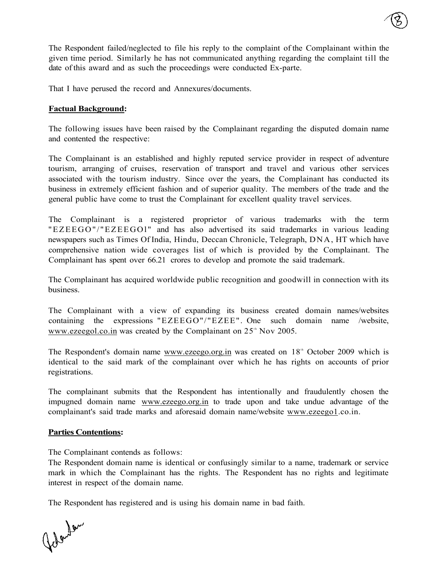The Respondent failed/neglected to file his reply to the complaint of the Complainant within the given time period. Similarly he has not communicated anything regarding the complaint till the date of this award and as such the proceedings were conducted Ex-parte.

That I have perused the record and Annexures/documents.

#### **Factual Background:**

The following issues have been raised by the Complainant regarding the disputed domain name and contented the respective:

The Complainant is an established and highly reputed service provider in respect of adventure tourism, arranging of cruises, reservation of transport and travel and various other services associated with the tourism industry. Since over the years, the Complainant has conducted its business in extremely efficient fashion and of superior quality. The members of the trade and the general public have come to trust the Complainant for excellent quality travel services.

The Complainant is a registered proprietor of various trademarks with the term "EZEEGO"/"EZEEGOl" and has also advertised its said trademarks in various leading newspapers such as Times Of India, Hindu, Deccan Chronicle, Telegraph, DNA, HT which have comprehensive nation wide coverages list of which is provided by the Complainant. The Complainant has spent over 66.21 crores to develop and promote the said trademark.

The Complainant has acquired worldwide public recognition and goodwill in connection with its business.

The Complainant with a view of expanding its business created domain names/websites containing the expressions "EZEEGO"/"EZEE". One such domain name /website, [www.ezeegol.co.in](http://www.ezeegol.co.in) was created by the Complainant on  $25<sup>th</sup>$  Nov 2005.

The Respondent's domain name [www.ezeego.org.in w](http://www.ezeego.org.in)as created on 18<sup>th</sup> October 2009 which is identical to the said mark of the complainant over which he has rights on accounts of prior registrations.

The complainant submits that the Respondent has intentionally and fraudulently chosen the impugned domain name [www.ezeego.org.in t](http://www.ezeego.org.in)o trade upon and take undue advantage of the complainant's said trade marks and aforesaid domain name/website [www.ezeego1.](http://www.ezeegol)co.in.

#### **Parties Contentions:**

The Complainant contends as follows:

The Respondent domain name is identical or confusingly similar to a name, trademark or service mark in which the Complainant has the rights. The Respondent has no rights and legitimate interest in respect of the domain name.

The Respondent has registered and is using his domain name in bad faith.

Golandan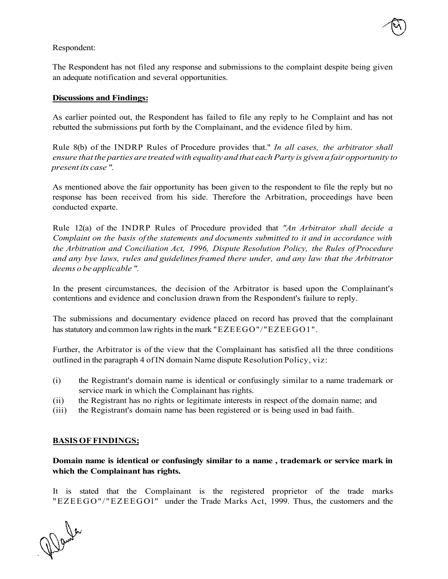#### Respondent:

The Respondent has not filed any response and submissions to the complaint despite being given an adequate notification and several opportunities.

#### **Discussions and Findings:**

As earlier pointed out, the Respondent has failed to file any reply to he Complaint and has not rebutted the submissions put forth by the Complainant, and the evidence filed by him.

Rule 8(b) of the INDRP Rules of Procedure provides that." *In all cases, the arbitrator shall ensure that the parties are treated with equality and that each Party is given a fair opportunity to present its case ".* 

As mentioned above the fair opportunity has been given to the respondent to file the reply but no response has been received from his side. Therefore the Arbitration, proceedings have been conducted exparte.

Rule 12(a) of the INDRP Rules of Procedure provided that *"An Arbitrator shall decide a Complaint on the basis of the statements and documents submitted to it and in accordance with the Arbitration and Conciliation Act, 1996, Dispute Resolution Policy, the Rules of Procedure and any bye laws, rules and guidelines framed there under, and any law that the Arbitrator deems o be applicable ".* 

In the present circumstances, the decision of the Arbitrator is based upon the Complainant's contentions and evidence and conclusion drawn from the Respondent's failure to reply.

The submissions and documentary evidence placed on record has proved that the complainant has statutory and common law rights in the mark "EZEEGO"/"EZEEGO1".

Further, the Arbitrator is of the view that the Complainant has satisfied all the three conditions outlined in the paragraph 4 of IN domain Name dispute Resolution Policy, viz:

- (i) the Registrant's domain name is identical or confusingly similar to a name trademark or service mark in which the Complainant has rights.
- (ii) the Registrant has no rights or legitimate interests in respect of the domain name; and
- (iii) the Registrant's domain name has been registered or is being used in bad faith.

#### **BASIS OF FINDINGS;**

**Domain name is identical or confusingly similar to a name , trademark or service mark in which the Complainant has rights.** 

It is stated that the Complainant is the registered proprietor of the trade marks "EZEEGO"/"EZEEGOl " under the Trade Marks Act, 1999. Thus, the customers and the

Wende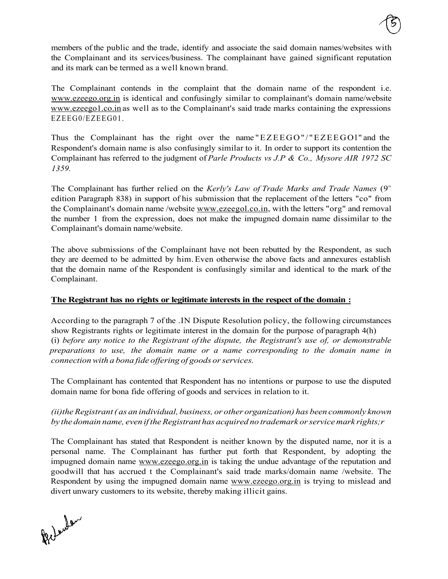members of the public and the trade, identify and associate the said domain names/websites with the Complainant and its services/business. The complainant have gained significant reputation and its mark can be termed as a well known brand.

The Complainant contends in the complaint that the domain name of the respondent i.e. [www.ezeego.org.in](http://www.ezeego.org.in) is identical and confusingly similar to complainant's domain name/website [www.ezeego1.co.in a](http://www.ezeegol.co.in)s well as to the Complainant's said trade marks containing the expressions EZEEG0/EZEEG01.

Thus the Complainant has the right over the name "EZEEGO"/"EZEEGOl " and the Respondent's domain name is also confusingly similar to it. In order to support its contention the Complainant has referred to the judgment of *Parle Products vs J.P & Co., Mysore AIR 1972 SC 1359.* 

The Complainant has further relied on the Kerly's Law of Trade Marks and Trade Names (9<sup>th</sup>) edition Paragraph 838) in support of his submission that the replacement of the letters "co" from the Complainant's domain name /website [www.ezeegol.co.in,](http://www.ezeegol.co.in) with the letters "org" and removal the number 1 from the expression, does not make the impugned domain name dissimilar to the Complainant's domain name/website.

The above submissions of the Complainant have not been rebutted by the Respondent, as such they are deemed to be admitted by him. Even otherwise the above facts and annexures establish that the domain name of the Respondent is confusingly similar and identical to the mark of the Complainant.

### **The Registrant has no rights or legitimate interests in the respect of the domain :**

According to the paragraph 7 of the .IN Dispute Resolution policy, the following circumstances show Registrants rights or legitimate interest in the domain for the purpose of paragraph 4(h) (i) *before any notice to the Registrant of the dispute, the Registrant's use of, or demonstrable preparations to use, the domain name or a name corresponding to the domain name in connection with a bona fide offering of goods or services.* 

The Complainant has contented that Respondent has no intentions or purpose to use the disputed domain name for bona fide offering of goods and services in relation to it.

## *(ii)the Registrant ( as an individual, business, or other organization) has been commonly known by the domain name, even if the Registrant has acquired no trademark or service mark rights;r*

The Complainant has stated that Respondent is neither known by the disputed name, nor it is a personal name. The Complainant has further put forth that Respondent, by adopting the impugned domain name [www.ezeego.org.in i](http://www.ezeego.org.in)s taking the undue advantage of the reputation and goodwill that has accrued t the Complainant's said trade marks/domain name /website. The Respondent by using the impugned domain name [www.ezeego.org.in i](http://www.ezeego.org.in)s trying to mislead and divert unwary customers to its website, thereby making illicit gains.

Prilender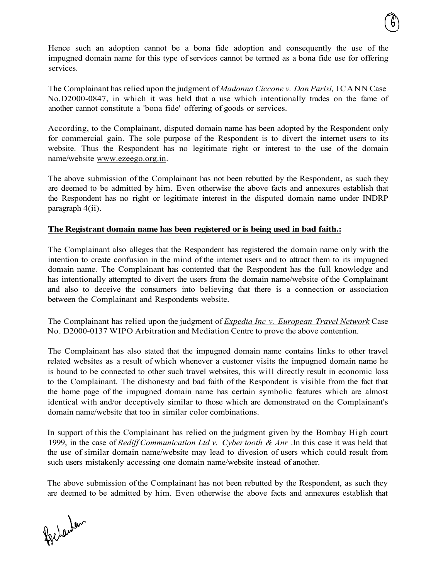Hence such an adoption cannot be a bona fide adoption and consequently the use of the impugned domain name for this type of services cannot be termed as a bona fide use for offering services.

The Complainant has relied upon the judgment of *Madonna Ciccone v. Dan Parisi,* ICANN Case No.D2000-0847, in which it was held that a use which intentionally trades on the fame of another cannot constitute a 'bona fide' offering of goods or services.

According, to the Complainant, disputed domain name has been adopted by the Respondent only for commercial gain. The sole purpose of the Respondent is to divert the internet users to its website. Thus the Respondent has no legitimate right or interest to the use of the domain name/website [www.ezeego.org.in.](http://www.ezeego.org.in)

The above submission of the Complainant has not been rebutted by the Respondent, as such they are deemed to be admitted by him. Even otherwise the above facts and annexures establish that the Respondent has no right or legitimate interest in the disputed domain name under INDRP paragraph 4(ii).

#### **The Registrant domain name has been registered or is being used in bad faith.:**

The Complainant also alleges that the Respondent has registered the domain name only with the intention to create confusion in the mind of the internet users and to attract them to its impugned domain name. The Complainant has contented that the Respondent has the full knowledge and has intentionally attempted to divert the users from the domain name/website of the Complainant and also to deceive the consumers into believing that there is a connection or association between the Complainant and Respondents website.

The Complainant has relied upon the judgment of *Expedia Inc v. European Travel Network* Case No. D2000-0137 WIPO Arbitration and Mediation Centre to prove the above contention.

The Complainant has also stated that the impugned domain name contains links to other travel related websites as a result of which whenever a customer visits the impugned domain name he is bound to be connected to other such travel websites, this will directly result in economic loss to the Complainant. The dishonesty and bad faith of the Respondent is visible from the fact that the home page of the impugned domain name has certain symbolic features which are almost identical with and/or deceptively similar to those which are demonstrated on the Complainant's domain name/website that too in similar color combinations.

In support of this the Complainant has relied on the judgment given by the Bombay High court 1999, in the case of *Rediff Communication Ltd v. Cyber tooth & Anr* .In this case it was held that the use of similar domain name/website may lead to divesion of users which could result from such users mistakenly accessing one domain name/website instead of another.

The above submission of the Complainant has not been rebutted by the Respondent, as such they are deemed to be admitted by him. Even otherwise the above facts and annexures establish that

fgetauteur